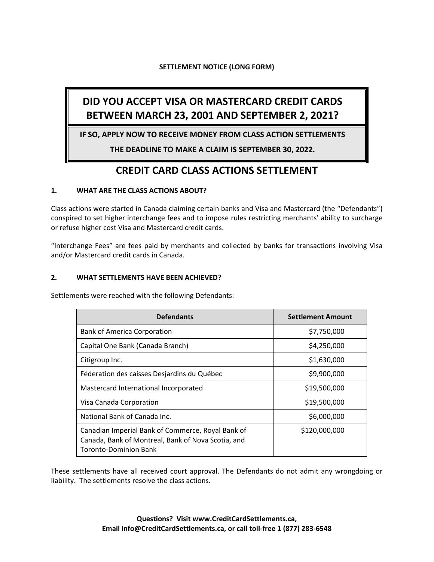## **SETTLEMENT NOTICE (LONG FORM)**

# **DID YOU ACCEPT VISA OR MASTERCARD CREDIT CARDS BETWEEN MARCH 23, 2001 AND SEPTEMBER 2, 2021?**

**IF SO, APPLY NOW TO RECEIVE MONEY FROM CLASS ACTION SETTLEMENTS**

**THE DEADLINE TO MAKE A CLAIM IS SEPTEMBER 30, 2022.**

## **CREDIT CARD CLASS ACTIONS SETTLEMENT**

## **1. WHAT ARE THE CLASS ACTIONS ABOUT?**

Class actions were started in Canada claiming certain banks and Visa and Mastercard (the "Defendants") conspired to set higher interchange fees and to impose rules restricting merchants' ability to surcharge or refuse higher cost Visa and Mastercard credit cards.

"Interchange Fees" are fees paid by merchants and collected by banks for transactions involving Visa and/or Mastercard credit cards in Canada.

## **2. WHAT SETTLEMENTS HAVE BEEN ACHIEVED?**

Settlements were reached with the following Defendants:

| <b>Defendants</b>                                                                                                                | <b>Settlement Amount</b> |
|----------------------------------------------------------------------------------------------------------------------------------|--------------------------|
| <b>Bank of America Corporation</b>                                                                                               | \$7,750,000              |
| Capital One Bank (Canada Branch)                                                                                                 | \$4,250,000              |
| Citigroup Inc.                                                                                                                   | \$1,630,000              |
| Féderation des caisses Desjardins du Québec                                                                                      | \$9,900,000              |
| Mastercard International Incorporated                                                                                            | \$19,500,000             |
| Visa Canada Corporation                                                                                                          | \$19,500,000             |
| National Bank of Canada Inc.                                                                                                     | \$6,000,000              |
| Canadian Imperial Bank of Commerce, Royal Bank of<br>Canada, Bank of Montreal, Bank of Nova Scotia, and<br>Toronto-Dominion Bank | \$120,000,000            |

These settlements have all received court approval. The Defendants do not admit any wrongdoing or liability. The settlements resolve the class actions.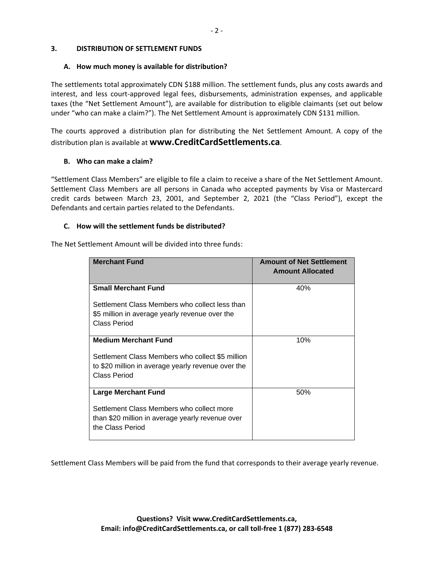#### **3. DISTRIBUTION OF SETTLEMENT FUNDS**

#### **A. How much money is available for distribution?**

The settlements total approximately CDN \$188 million. The settlement funds, plus any costs awards and interest, and less court-approved legal fees, disbursements, administration expenses, and applicable taxes (the "Net Settlement Amount"), are available for distribution to eligible claimants (set out below under "who can make a claim?"). The Net Settlement Amount is approximately CDN \$131 million.

The courts approved a distribution plan for distributing the Net Settlement Amount. A copy of the distribution plan is available at **www.CreditCardSettlements.ca**.

#### **B. Who can make a claim?**

"Settlement Class Members" are eligible to file a claim to receive a share of the Net Settlement Amount. Settlement Class Members are all persons in Canada who accepted payments by Visa or Mastercard credit cards between March 23, 2001, and September 2, 2021 (the "Class Period"), except the Defendants and certain parties related to the Defendants.

#### **C. How will the settlement funds be distributed?**

The Net Settlement Amount will be divided into three funds:

| <b>Merchant Fund</b>                                                                                                   | <b>Amount of Net Settlement</b><br><b>Amount Allocated</b> |
|------------------------------------------------------------------------------------------------------------------------|------------------------------------------------------------|
| <b>Small Merchant Fund</b>                                                                                             | 40%                                                        |
| Settlement Class Members who collect less than<br>\$5 million in average yearly revenue over the<br>Class Period       |                                                            |
| <b>Medium Merchant Fund</b>                                                                                            | 10%                                                        |
| Settlement Class Members who collect \$5 million<br>to \$20 million in average yearly revenue over the<br>Class Period |                                                            |
| <b>Large Merchant Fund</b>                                                                                             | 50%                                                        |
| Settlement Class Members who collect more<br>than \$20 million in average yearly revenue over<br>the Class Period      |                                                            |

Settlement Class Members will be paid from the fund that corresponds to their average yearly revenue.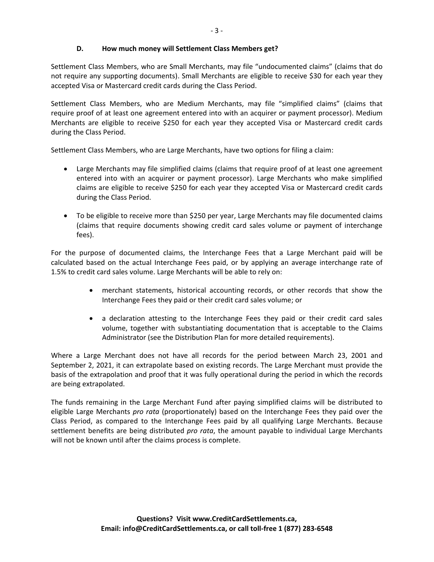## **D. How much money will Settlement Class Members get?**

Settlement Class Members, who are Small Merchants, may file "undocumented claims" (claims that do not require any supporting documents). Small Merchants are eligible to receive \$30 for each year they accepted Visa or Mastercard credit cards during the Class Period.

Settlement Class Members, who are Medium Merchants, may file "simplified claims" (claims that require proof of at least one agreement entered into with an acquirer or payment processor). Medium Merchants are eligible to receive \$250 for each year they accepted Visa or Mastercard credit cards during the Class Period.

Settlement Class Members, who are Large Merchants, have two options for filing a claim:

- Large Merchants may file simplified claims (claims that require proof of at least one agreement entered into with an acquirer or payment processor). Large Merchants who make simplified claims are eligible to receive \$250 for each year they accepted Visa or Mastercard credit cards during the Class Period.
- To be eligible to receive more than \$250 per year, Large Merchants may file documented claims (claims that require documents showing credit card sales volume or payment of interchange fees).

For the purpose of documented claims, the Interchange Fees that a Large Merchant paid will be calculated based on the actual Interchange Fees paid, or by applying an average interchange rate of 1.5% to credit card sales volume. Large Merchants will be able to rely on:

- merchant statements, historical accounting records, or other records that show the Interchange Fees they paid or their credit card sales volume; or
- a declaration attesting to the Interchange Fees they paid or their credit card sales volume, together with substantiating documentation that is acceptable to the Claims Administrator (see the Distribution Plan for more detailed requirements).

Where a Large Merchant does not have all records for the period between March 23, 2001 and September 2, 2021, it can extrapolate based on existing records. The Large Merchant must provide the basis of the extrapolation and proof that it was fully operational during the period in which the records are being extrapolated.

The funds remaining in the Large Merchant Fund after paying simplified claims will be distributed to eligible Large Merchants *pro rata* (proportionately) based on the Interchange Fees they paid over the Class Period, as compared to the Interchange Fees paid by all qualifying Large Merchants. Because settlement benefits are being distributed *pro rata*, the amount payable to individual Large Merchants will not be known until after the claims process is complete.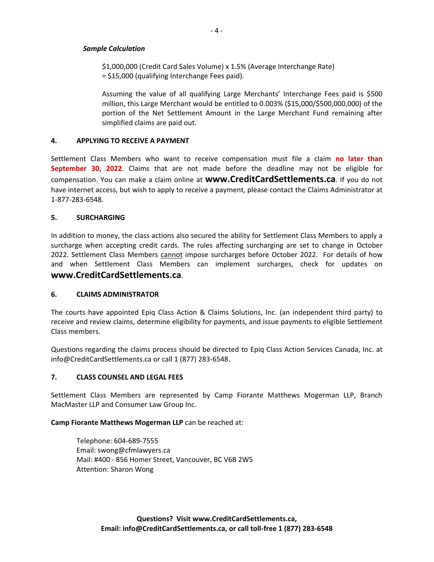#### *Sample Calculation*

\$1,000,000 (Credit Card Sales Volume) x 1.5% (Average Interchange Rate) = \$15,000 (qualifying Interchange Fees paid).

Assuming the value of all qualifying Large Merchants' Interchange Fees paid is \$500 million, this Large Merchant would be entitled to 0.003% (\$15,000/\$500,000,000) of the portion of the Net Settlement Amount in the Large Merchant Fund remaining after simplified claims are paid out.

#### **4. APPLYING TO RECEIVE A PAYMENT**

Settlement Class Members who want to receive compensation must file a claim **no later than September 30, 2022**. Claims that are not made before the deadline may not be eligible for compensation. You can make a claim online at **www.CreditCardSettlements.ca**. If you do not have internet access, but wish to apply to receive a payment, please contact the Claims Administrator at 1-877-283-6548.

#### **5. SURCHARGING**

In addition to money, the class actions also secured the ability for Settlement Class Members to apply a surcharge when accepting credit cards. The rules affecting surcharging are set to change in October 2022. Settlement Class Members cannot impose surcharges before October 2022. For details of how and when Settlement Class Members can implement surcharges, check for updates on **www.CreditCardSettlements.ca**.

#### **6. CLAIMS ADMINISTRATOR**

The courts have appointed Epiq Class Action & Claims Solutions, Inc. (an independent third party) to receive and review claims, determine eligibility for payments, and issue payments to eligible Settlement Class members.

Questions regarding the claims process should be directed to Epiq Class Action Services Canada, Inc. at info@CreditCardSettlements.ca or call 1 (877) 283-6548.

#### **7. CLASS COUNSEL AND LEGAL FEES**

Settlement Class Members are represented by Camp Fiorante Matthews Mogerman LLP, Branch MacMaster LLP and Consumer Law Group Inc.

#### **Camp Fiorante Matthews Mogerman LLP** can be reached at:

Telephone: 604-689-7555 Email: swong@cfmlawyers.ca Mail: #400 - 856 Homer Street, Vancouver, BC V6B 2W5 Attention: Sharon Wong